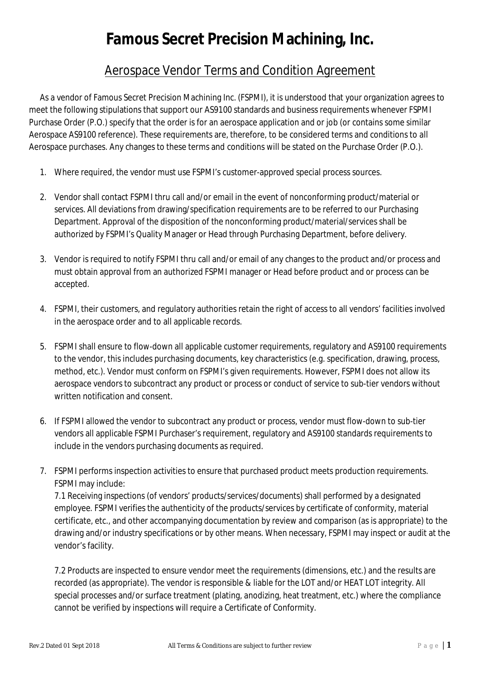## **Famous Secret Precision Machining, Inc.**

## Aerospace Vendor Terms and Condition Agreement

As a vendor of Famous Secret Precision Machining Inc. (FSPMI), it is understood that your organization agrees to meet the following stipulations that support our AS9100 standards and business requirements whenever FSPMI Purchase Order (P.O.) specify that the order is for an aerospace application and or job (or contains some similar Aerospace AS9100 reference). These requirements are, therefore, to be considered terms and conditions to all Aerospace purchases. Any changes to these terms and conditions will be stated on the Purchase Order (P.O.).

- 1. Where required, the vendor must use FSPMI's customer-approved special process sources.
- 2. Vendor shall contact FSPMI thru call and/or email in the event of nonconforming product/material or services. All deviations from drawing/specification requirements are to be referred to our Purchasing Department. Approval of the disposition of the nonconforming product/material/services shall be authorized by FSPMI's Quality Manager or Head through Purchasing Department, before delivery.
- 3. Vendor is required to notify FSPMI thru call and/or email of any changes to the product and/or process and must obtain approval from an authorized FSPMI manager or Head before product and or process can be accepted.
- 4. FSPMI, their customers, and regulatory authorities retain the right of access to all vendors' facilities involved in the aerospace order and to all applicable records.
- 5. FSPMI shall ensure to flow-down all applicable customer requirements, regulatory and AS9100 requirements to the vendor, this includes purchasing documents, key characteristics (e.g. specification, drawing, process, method, etc.). Vendor must conform on FSPMI's given requirements. However, FSPMI does not allow its aerospace vendors to subcontract any product or process or conduct of service to sub-tier vendors without written notification and consent.
- 6. If FSPMI allowed the vendor to subcontract any product or process, vendor must flow-down to sub-tier vendors all applicable FSPMI Purchaser's requirement, regulatory and AS9100 standards requirements to include in the vendors purchasing documents as required.
- 7. FSPMI performs inspection activities to ensure that purchased product meets production requirements. FSPMI may include:

7.1 Receiving inspections (of vendors' products/services/documents) shall performed by a designated employee. FSPMI verifies the authenticity of the products/services by certificate of conformity, material certificate, etc., and other accompanying documentation by review and comparison (as is appropriate) to the drawing and/or industry specifications or by other means. When necessary, FSPMI may inspect or audit at the vendor's facility.

7.2 Products are inspected to ensure vendor meet the requirements (dimensions, etc.) and the results are recorded (as appropriate). The vendor is responsible & liable for the LOT and/or HEAT LOT integrity. All special processes and/or surface treatment (plating, anodizing, heat treatment, etc.) where the compliance cannot be verified by inspections will require a Certificate of Conformity.